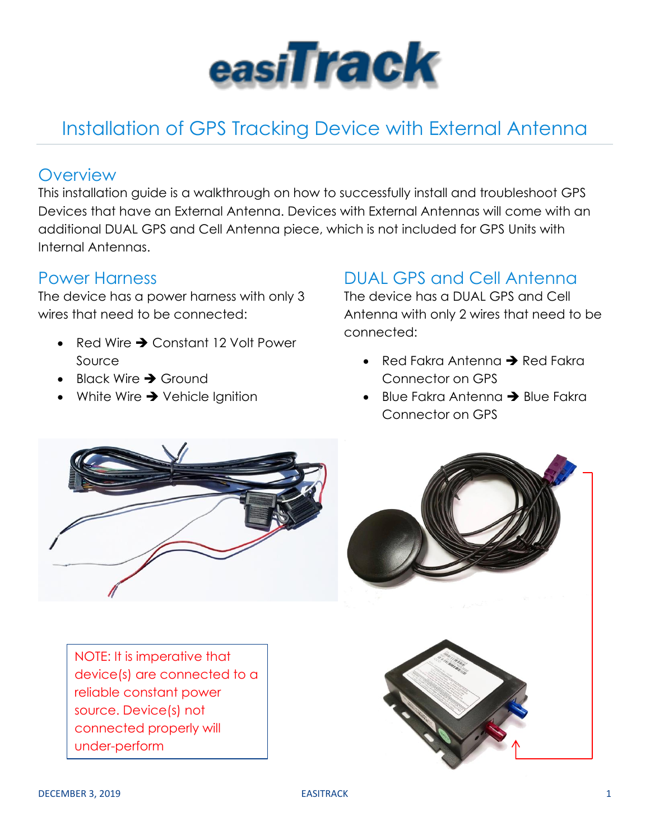

### **Overview**

This installation guide is a walkthrough on how to successfully install and troubleshoot GPS Devices that have an External Antenna. Devices with External Antennas will come with an additional DUAL GPS and Cell Antenna piece, which is not included for GPS Units with Internal Antennas.

### Power Harness

The device has a power harness with only 3 wires that need to be connected:

- Red Wire → Constant 12 Volt Power Source
- Black Wire ➔ Ground
- White Wire → Vehicle Ignition

## DUAL GPS and Cell Antenna

The device has a DUAL GPS and Cell Antenna with only 2 wires that need to be connected:

- Red Fakra Antenna → Red Fakra Connector on GPS
- Blue Fakra Antenna → Blue Fakra Connector on GPS



NOTE: It is imperative that device(s) are connected to a reliable constant power source. Device(s) not connected properly will under-perform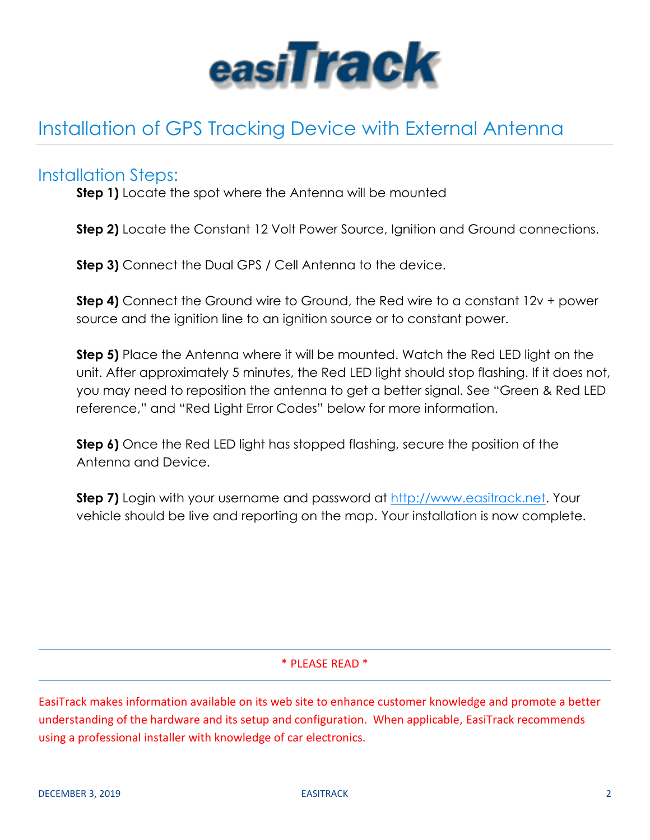

### Installation Steps:

**Step 1)** Locate the spot where the Antenna will be mounted

**Step 2)** Locate the Constant 12 Volt Power Source, Ignition and Ground connections.

**Step 3)** Connect the Dual GPS / Cell Antenna to the device.

**Step 4)** Connect the Ground wire to Ground, the Red wire to a constant 12v + power source and the ignition line to an ignition source or to constant power.

**Step 5)** Place the Antenna where it will be mounted. Watch the Red LED light on the unit. After approximately 5 minutes, the Red LED light should stop flashing. If it does not, you may need to reposition the antenna to get a better signal. See "Green & Red LED reference," and "Red Light Error Codes" below for more information.

**Step 6)** Once the Red LED light has stopped flashing, secure the position of the Antenna and Device.

**Step 7)** Login with your username and password at [http://www.easitrack.net.](http://www.easitrack.net/) Your vehicle should be live and reporting on the map. Your installation is now complete.

#### \* PLEASE READ \*

EasiTrack makes information available on its web site to enhance customer knowledge and promote a better understanding of the hardware and its setup and configuration. When applicable, EasiTrack recommends using a professional installer with knowledge of car electronics.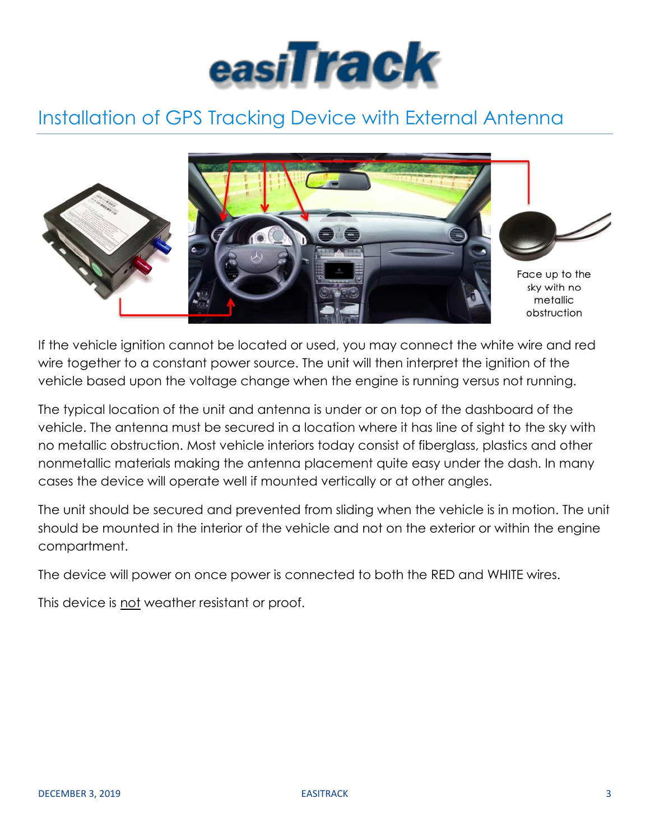



If the vehicle ignition cannot be located or used, you may connect the white wire and red wire together to a constant power source. The unit will then interpret the ignition of the vehicle based upon the voltage change when the engine is running versus not running.

The typical location of the unit and antenna is under or on top of the dashboard of the vehicle. The antenna must be secured in a location where it has line of sight to the sky with no metallic obstruction. Most vehicle interiors today consist of fiberglass, plastics and other nonmetallic materials making the antenna placement quite easy under the dash. In many cases the device will operate well if mounted vertically or at other angles.

The unit should be secured and prevented from sliding when the vehicle is in motion. The unit should be mounted in the interior of the vehicle and not on the exterior or within the engine compartment.

The device will power on once power is connected to both the RED and WHITE wires.

This device is not weather resistant or proof.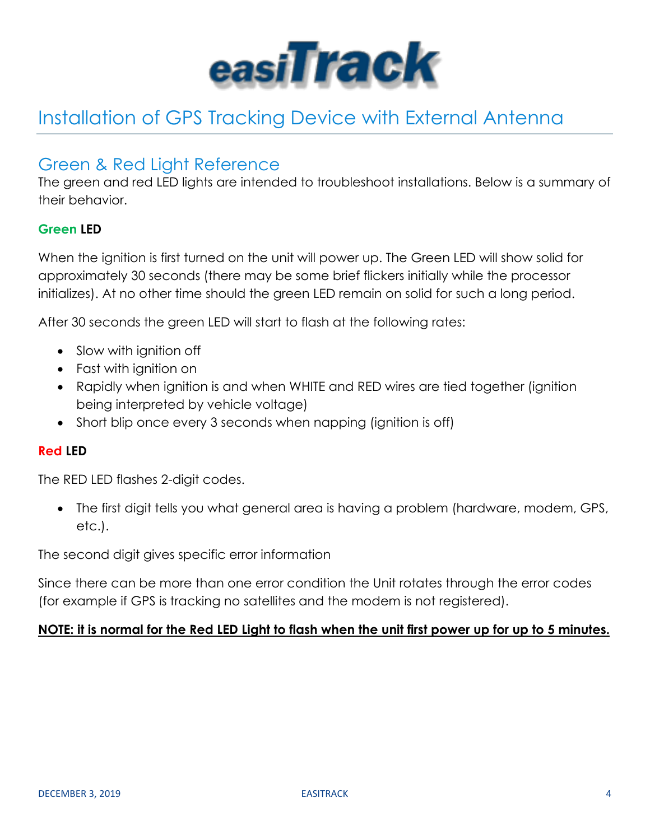

## Green & Red Light Reference

The green and red LED lights are intended to troubleshoot installations. Below is a summary of their behavior.

#### **Green LED**

When the ignition is first turned on the unit will power up. The Green LED will show solid for approximately 30 seconds (there may be some brief flickers initially while the processor initializes). At no other time should the green LED remain on solid for such a long period.

After 30 seconds the green LED will start to flash at the following rates:

- Slow with ignition off
- Fast with ignition on
- Rapidly when ignition is and when WHITE and RED wires are tied together (ignition being interpreted by vehicle voltage)
- Short blip once every 3 seconds when napping (ignition is off)

#### **Red LED**

The RED LED flashes 2-digit codes.

• The first digit tells you what general area is having a problem (hardware, modem, GPS, etc.).

The second digit gives specific error information

Since there can be more than one error condition the Unit rotates through the error codes (for example if GPS is tracking no satellites and the modem is not registered).

#### **NOTE: it is normal for the Red LED Light to flash when the unit first power up for up to 5 minutes.**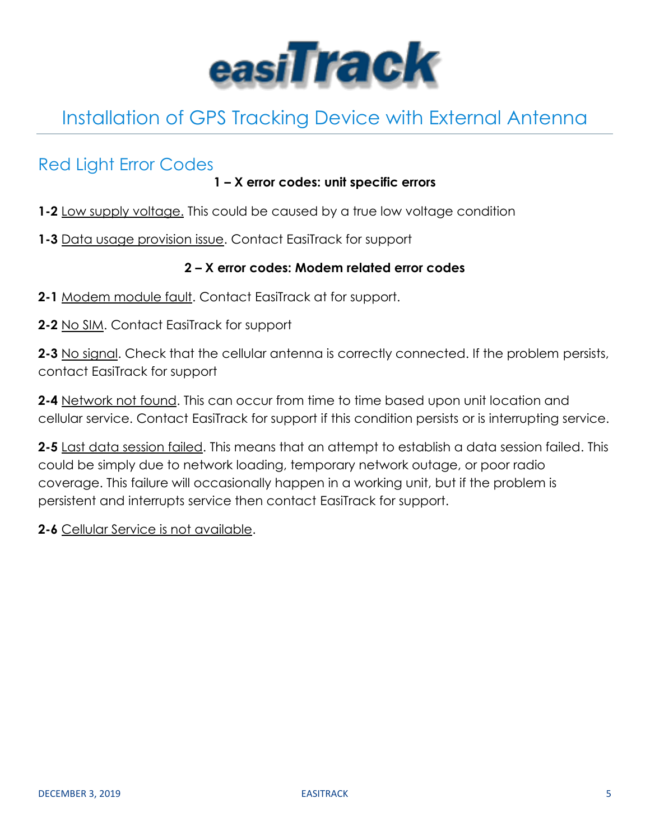

### Red Light Error Codes

#### **1 – X error codes: unit specific errors**

- **1-2** Low supply voltage. This could be caused by a true low voltage condition
- **1-3** Data usage provision issue. Contact EasiTrack for support

#### **2 – X error codes: Modem related error codes**

- **2-1** Modem module fault. Contact EasiTrack at for support.
- **2-2** No SIM. Contact EasiTrack for support

**2-3** No signal. Check that the cellular antenna is correctly connected. If the problem persists, contact EasiTrack for support

**2-4** Network not found. This can occur from time to time based upon unit location and cellular service. Contact EasiTrack for support if this condition persists or is interrupting service.

**2-5** Last data session failed. This means that an attempt to establish a data session failed. This could be simply due to network loading, temporary network outage, or poor radio coverage. This failure will occasionally happen in a working unit, but if the problem is persistent and interrupts service then contact EasiTrack for support.

**2-6** Cellular Service is not available.